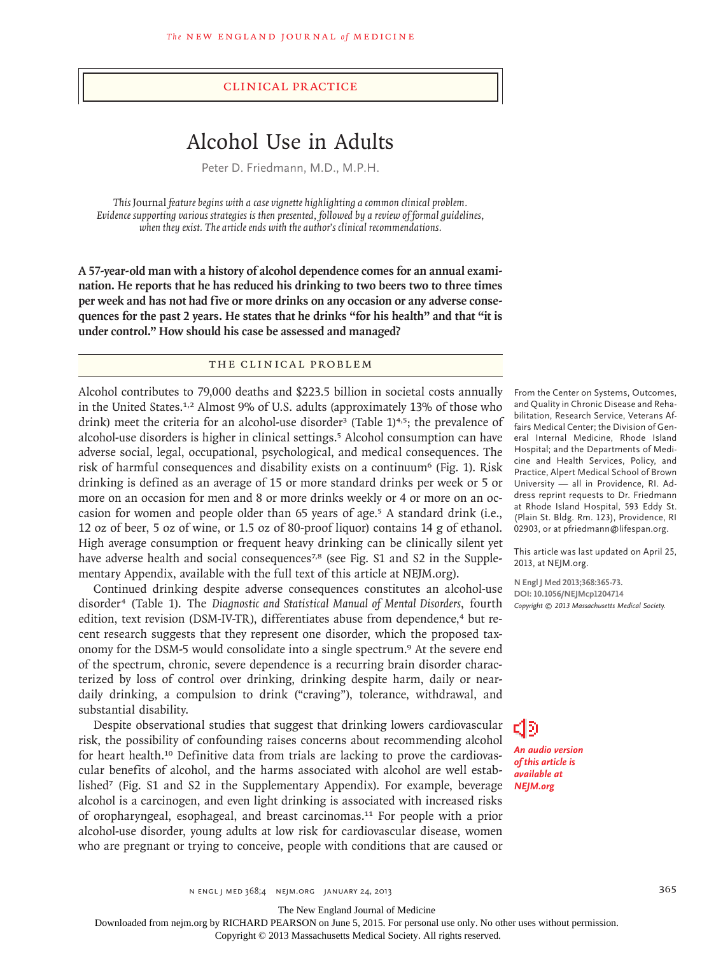#### clinical practice

# Alcohol Use in Adults

Peter D. Friedmann, M.D., M.P.H.

*This* Journal *feature begins with a case vignette highlighting a common clinical problem. Evidence supporting various strategies is then presented, followed by a review of formal guidelines, when they exist. The article ends with the author's clinical recommendations.* 

**A 57-year-old man with a history of alcohol dependence comes for an annual examination. He reports that he has reduced his drinking to two beers two to three times per week and has not had five or more drinks on any occasion or any adverse consequences for the past 2 years. He states that he drinks "for his health" and that "it is under control." How should his case be assessed and managed?**

## THE CLINICAL PROBLEM

Alcohol contributes to 79,000 deaths and \$223.5 billion in societal costs annually in the United States.1,2 Almost 9% of U.S. adults (approximately 13% of those who drink) meet the criteria for an alcohol-use disorder<sup>3</sup> (Table  $1$ <sup>4,5</sup>; the prevalence of alcohol-use disorders is higher in clinical settings.5 Alcohol consumption can have adverse social, legal, occupational, psychological, and medical consequences. The risk of harmful consequences and disability exists on a continuum<sup>6</sup> (Fig. 1). Risk drinking is defined as an average of 15 or more standard drinks per week or 5 or more on an occasion for men and 8 or more drinks weekly or 4 or more on an occasion for women and people older than 65 years of age.5 A standard drink (i.e., 12 oz of beer, 5 oz of wine, or 1.5 oz of 80-proof liquor) contains 14 g of ethanol. High average consumption or frequent heavy drinking can be clinically silent yet have adverse health and social consequences<sup>7,8</sup> (see Fig. S1 and S2 in the Supplementary Appendix, available with the full text of this article at NEJM.org).

Continued drinking despite adverse consequences constitutes an alcohol-use disorder4 (Table 1). The *Diagnostic and Statistical Manual of Mental Disorders*, fourth edition, text revision (DSM-IV-TR), differentiates abuse from dependence,<sup>4</sup> but recent research suggests that they represent one disorder, which the proposed taxonomy for the DSM-5 would consolidate into a single spectrum.9 At the severe end of the spectrum, chronic, severe dependence is a recurring brain disorder characterized by loss of control over drinking, drinking despite harm, daily or neardaily drinking, a compulsion to drink ("craving"), tolerance, withdrawal, and substantial disability.

Despite observational studies that suggest that drinking lowers cardiovascular risk, the possibility of confounding raises concerns about recommending alcohol for heart health.10 Definitive data from trials are lacking to prove the cardiovascular benefits of alcohol, and the harms associated with alcohol are well established7 (Fig. S1 and S2 in the Supplementary Appendix). For example, beverage alcohol is a carcinogen, and even light drinking is associated with increased risks of oropharyngeal, esophageal, and breast carcinomas.11 For people with a prior alcohol-use disorder, young adults at low risk for cardiovascular disease, women who are pregnant or trying to conceive, people with conditions that are caused or

From the Center on Systems, Outcomes, and Quality in Chronic Disease and Rehabilitation, Research Service, Veterans Affairs Medical Center; the Division of General Internal Medicine, Rhode Island Hospital; and the Departments of Medicine and Health Services, Policy, and Practice, Alpert Medical School of Brown University — all in Providence, RI. Address reprint requests to Dr. Friedmann at Rhode Island Hospital, 593 Eddy St. (Plain St. Bldg. Rm. 123), Providence, RI 02903, or at pfriedmann@lifespan.org.

This article was last updated on April 25, 2013, at NEJM.org.

**N Engl J Med 2013;368:365-73. DOI: 10.1056/NEJMcp1204714** *Copyright © 2013 Massachusetts Medical Society.*

*An audio version of this article is available at NEJM.org*

EIB

The New England Journal of Medicine

Downloaded from nejm.org by RICHARD PEARSON on June 5, 2015. For personal use only. No other uses without permission.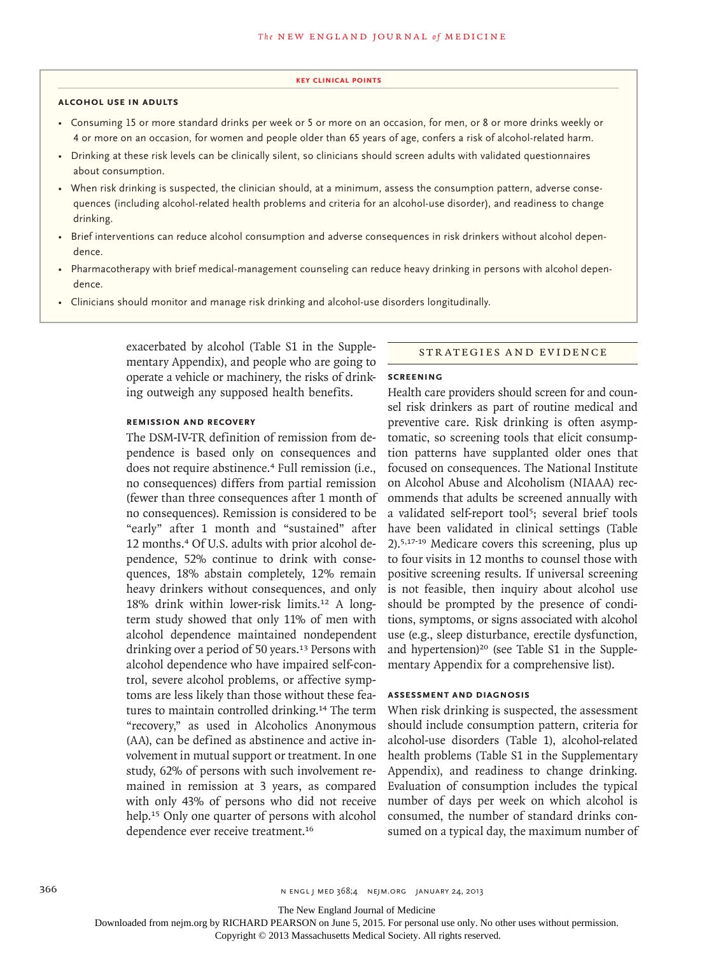#### **key Clinical points**

#### **alcohol use in adults**

- Consuming 15 or more standard drinks per week or 5 or more on an occasion, for men, or 8 or more drinks weekly or 4 or more on an occasion, for women and people older than 65 years of age, confers a risk of alcohol-related harm.
- Drinking at these risk levels can be clinically silent, so clinicians should screen adults with validated questionnaires about consumption.
- When risk drinking is suspected, the clinician should, at a minimum, assess the consumption pattern, adverse consequences (including alcohol-related health problems and criteria for an alcohol-use disorder), and readiness to change drinking.
- Brief interventions can reduce alcohol consumption and adverse consequences in risk drinkers without alcohol dependence.
- Pharmacotherapy with brief medical-management counseling can reduce heavy drinking in persons with alcohol dependence.
- Clinicians should monitor and manage risk drinking and alcohol-use disorders longitudinally.

exacerbated by alcohol (Table S1 in the Supplementary Appendix), and people who are going to operate a vehicle or machinery, the risks of drinking outweigh any supposed health benefits.

#### STRATEGIES AND EVIDENCE

# **Screening**

**Remission and Recovery**

The DSM-IV-TR definition of remission from dependence is based only on consequences and does not require abstinence.<sup>4</sup> Full remission (i.e., no consequences) differs from partial remission (fewer than three consequences after 1 month of no consequences). Remission is considered to be "early" after 1 month and "sustained" after 12 months.4 Of U.S. adults with prior alcohol dependence, 52% continue to drink with consequences, 18% abstain completely, 12% remain heavy drinkers without consequences, and only 18% drink within lower-risk limits.12 A longterm study showed that only 11% of men with alcohol dependence maintained nondependent drinking over a period of 50 years.<sup>13</sup> Persons with alcohol dependence who have impaired self-control, severe alcohol problems, or affective symptoms are less likely than those without these features to maintain controlled drinking.<sup>14</sup> The term "recovery," as used in Alcoholics Anonymous (AA), can be defined as abstinence and active involvement in mutual support or treatment. In one study, 62% of persons with such involvement remained in remission at 3 years, as compared with only 43% of persons who did not receive help.<sup>15</sup> Only one quarter of persons with alcohol dependence ever receive treatment.<sup>16</sup>

Health care providers should screen for and counsel risk drinkers as part of routine medical and preventive care. Risk drinking is often asymptomatic, so screening tools that elicit consumption patterns have supplanted older ones that focused on consequences. The National Institute on Alcohol Abuse and Alcoholism (NIAAA) recommends that adults be screened annually with a validated self-report tool<sup>5</sup>; several brief tools have been validated in clinical settings (Table 2).5,17-19 Medicare covers this screening, plus up to four visits in 12 months to counsel those with positive screening results. If universal screening is not feasible, then inquiry about alcohol use should be prompted by the presence of conditions, symptoms, or signs associated with alcohol use (e.g., sleep disturbance, erectile dysfunction, and hypertension)<sup>20</sup> (see Table S1 in the Supplementary Appendix for a comprehensive list).

## **Assessment and Diagnosis**

When risk drinking is suspected, the assessment should include consumption pattern, criteria for alcohol-use disorders (Table 1), alcohol-related health problems (Table S1 in the Supplementary Appendix), and readiness to change drinking. Evaluation of consumption includes the typical number of days per week on which alcohol is consumed, the number of standard drinks consumed on a typical day, the maximum number of

The New England Journal of Medicine

Downloaded from nejm.org by RICHARD PEARSON on June 5, 2015. For personal use only. No other uses without permission.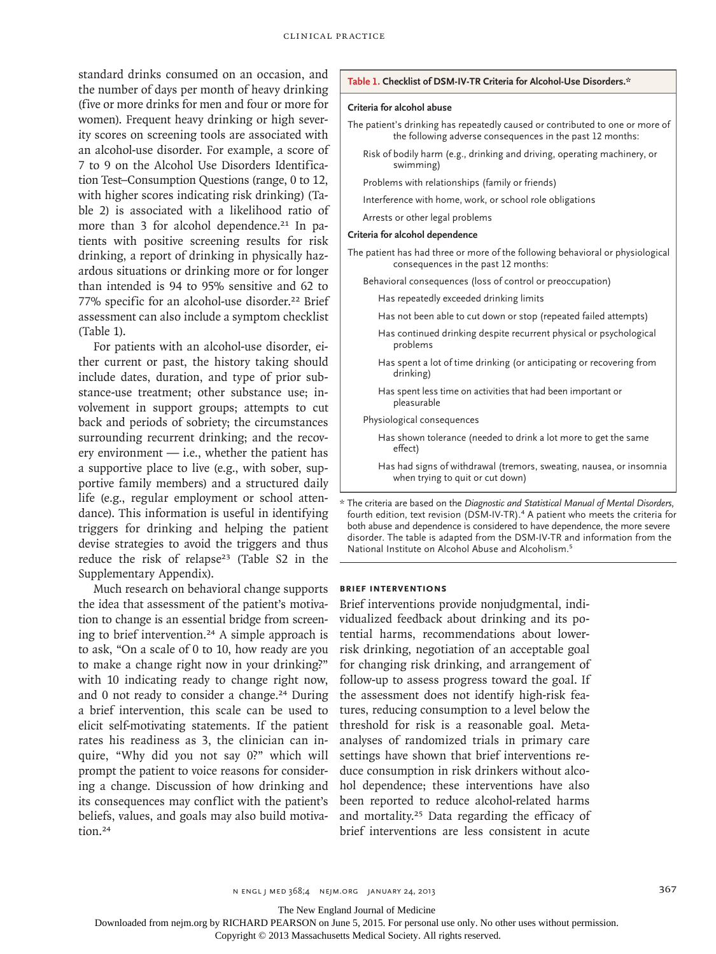standard drinks consumed on an occasion, and the number of days per month of heavy drinking (five or more drinks for men and four or more for women). Frequent heavy drinking or high severity scores on screening tools are associated with an alcohol-use disorder. For example, a score of 7 to 9 on the Alcohol Use Disorders Identification Test–Consumption Questions (range, 0 to 12, with higher scores indicating risk drinking) (Table 2) is associated with a likelihood ratio of more than 3 for alcohol dependence.<sup>21</sup> In patients with positive screening results for risk drinking, a report of drinking in physically hazardous situations or drinking more or for longer than intended is 94 to 95% sensitive and 62 to 77% specific for an alcohol-use disorder.<sup>22</sup> Brief assessment can also include a symptom checklist (Table 1).

For patients with an alcohol-use disorder, either current or past, the history taking should include dates, duration, and type of prior substance-use treatment; other substance use; involvement in support groups; attempts to cut back and periods of sobriety; the circumstances surrounding recurrent drinking; and the recovery environment  $-$  i.e., whether the patient has a supportive place to live (e.g., with sober, supportive family members) and a structured daily life (e.g., regular employment or school attendance). This information is useful in identifying triggers for drinking and helping the patient devise strategies to avoid the triggers and thus reduce the risk of relapse<sup>23</sup> (Table S2 in the Supplementary Appendix).

Much research on behavioral change supports the idea that assessment of the patient's motivation to change is an essential bridge from screening to brief intervention.24 A simple approach is to ask, "On a scale of 0 to 10, how ready are you to make a change right now in your drinking?" with 10 indicating ready to change right now, and 0 not ready to consider a change.<sup>24</sup> During a brief intervention, this scale can be used to elicit self-motivating statements. If the patient rates his readiness as 3, the clinician can inquire, "Why did you not say 0?" which will prompt the patient to voice reasons for considering a change. Discussion of how drinking and its consequences may conflict with the patient's beliefs, values, and goals may also build motivation.<sup>24</sup>

#### **Table 1. Checklist of DSM-IV-TR Criteria for Alcohol-Use Disorders.\***

#### **Criteria for alcohol abuse**

- The patient's drinking has repeatedly caused or contributed to one or more of the following adverse consequences in the past 12 months:
	- Risk of bodily harm (e.g., drinking and driving, operating machinery, or swimming)
	- Problems with relationships (family or friends)
	- Interference with home, work, or school role obligations
	- Arrests or other legal problems

#### **Criteria for alcohol dependence**

- The patient has had three or more of the following behavioral or physiological consequences in the past 12 months:
	- Behavioral consequences (loss of control or preoccupation)
		- Has repeatedly exceeded drinking limits
		- Has not been able to cut down or stop (repeated failed attempts)
		- Has continued drinking despite recurrent physical or psychological problems
		- Has spent a lot of time drinking (or anticipating or recovering from drinking)
		- Has spent less time on activities that had been important or pleasurable

Physiological consequences

- Has shown tolerance (needed to drink a lot more to get the same effect)
- Has had signs of withdrawal (tremors, sweating, nausea, or insomnia when trying to quit or cut down)

#### **Brief Interventions**

Brief interventions provide nonjudgmental, individualized feedback about drinking and its potential harms, recommendations about lowerrisk drinking, negotiation of an acceptable goal for changing risk drinking, and arrangement of follow-up to assess progress toward the goal. If the assessment does not identify high-risk features, reducing consumption to a level below the threshold for risk is a reasonable goal. Metaanalyses of randomized trials in primary care settings have shown that brief interventions reduce consumption in risk drinkers without alcohol dependence; these interventions have also been reported to reduce alcohol-related harms and mortality.<sup>25</sup> Data regarding the efficacy of brief interventions are less consistent in acute

The New England Journal of Medicine

Downloaded from nejm.org by RICHARD PEARSON on June 5, 2015. For personal use only. No other uses without permission.

<sup>\*</sup> The criteria are based on the *Diagnostic and Statistical Manual of Mental Disorders*, fourth edition, text revision (DSM-IV-TR).<sup>4</sup> A patient who meets the criteria for both abuse and dependence is considered to have dependence, the more severe disorder. The table is adapted from the DSM-IV-TR and information from the National Institute on Alcohol Abuse and Alcoholism.<sup>5</sup>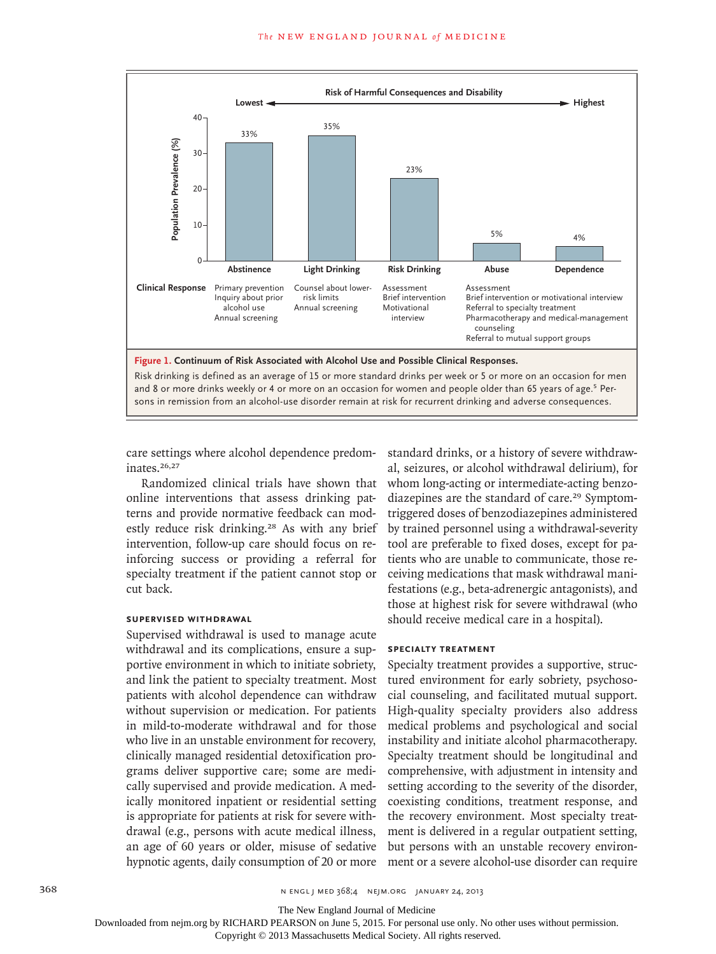

and 8 or more drinks weekly or 4 or more on an occasion for women and people older than 65 years of age.<sup>5</sup> Persons in remission from an alcohol-use disorder remain at risk for recurrent drinking and adverse consequences.

care settings where alcohol dependence predominates.26,27

Randomized clinical trials have shown that online interventions that assess drinking patterns and provide normative feedback can modestly reduce risk drinking.<sup>28</sup> As with any brief intervention, follow-up care should focus on reinforcing success or providing a referral for specialty treatment if the patient cannot stop or cut back.

## **Supervised Withdrawal**

Supervised withdrawal is used to manage acute withdrawal and its complications, ensure a supportive environment in which to initiate sobriety, and link the patient to specialty treatment. Most patients with alcohol dependence can withdraw without supervision or medication. For patients in mild-to-moderate withdrawal and for those who live in an unstable environment for recovery, clinically managed residential detoxification programs deliver supportive care; some are medically supervised and provide medication. A medically monitored inpatient or residential setting is appropriate for patients at risk for severe withdrawal (e.g., persons with acute medical illness, an age of 60 years or older, misuse of sedative hypnotic agents, daily consumption of 20 or more standard drinks, or a history of severe withdrawal, seizures, or alcohol withdrawal delirium), for whom long-acting or intermediate-acting benzodiazepines are the standard of care.<sup>29</sup> Symptomtriggered doses of benzodiazepines administered by trained personnel using a withdrawal-severity tool are preferable to fixed doses, except for patients who are unable to communicate, those receiving medications that mask withdrawal manifestations (e.g., beta-adrenergic antagonists), and those at highest risk for severe withdrawal (who should receive medical care in a hospital).

### **Specialty Treatment**

Specialty treatment provides a supportive, structured environment for early sobriety, psychosocial counseling, and facilitated mutual support. High-quality specialty providers also address medical problems and psychological and social instability and initiate alcohol pharmacotherapy. Specialty treatment should be longitudinal and comprehensive, with adjustment in intensity and setting according to the severity of the disorder, coexisting conditions, treatment response, and the recovery environment. Most specialty treatment is delivered in a regular outpatient setting, but persons with an unstable recovery environment or a severe alcohol-use disorder can require

368 **N ENGL J MED 368;4 NEJM.ORG JANUARY 24, 2013** 

The New England Journal of Medicine

Downloaded from nejm.org by RICHARD PEARSON on June 5, 2015. For personal use only. No other uses without permission.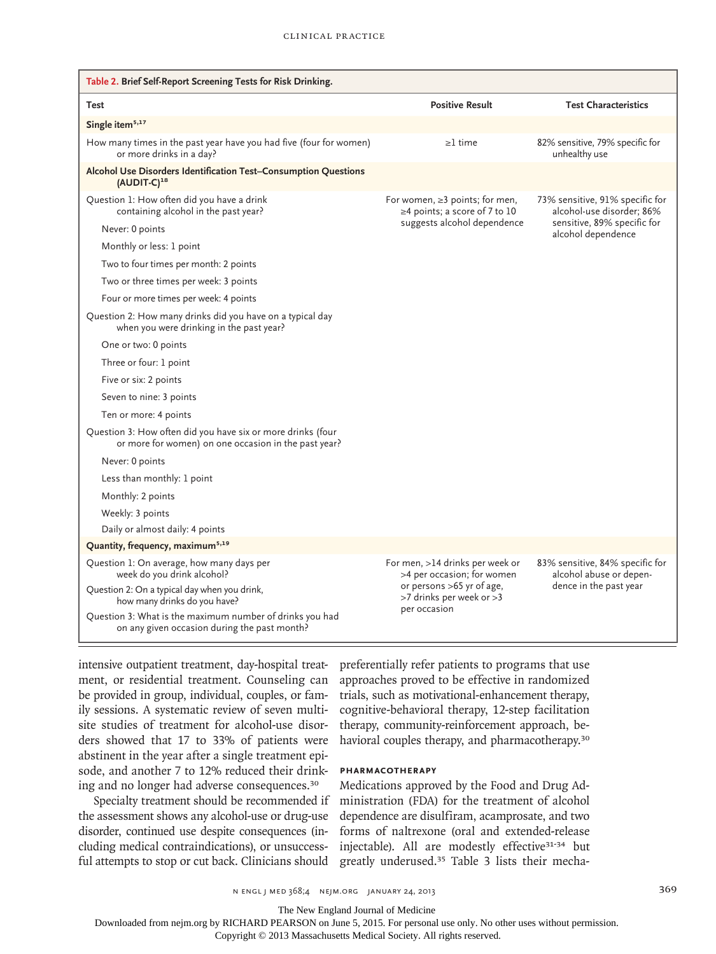| Table 2. Brief Self-Report Screening Tests for Risk Drinking.                                                       |                                                                       |                                                              |
|---------------------------------------------------------------------------------------------------------------------|-----------------------------------------------------------------------|--------------------------------------------------------------|
| Test                                                                                                                | <b>Positive Result</b>                                                | <b>Test Characteristics</b>                                  |
| Single item <sup>5,17</sup>                                                                                         |                                                                       |                                                              |
| How many times in the past year have you had five (four for women)<br>or more drinks in a day?                      | $\geq$ 1 time                                                         | 82% sensitive, 79% specific for<br>unhealthy use             |
| Alcohol Use Disorders Identification Test-Consumption Questions<br>(AUDIT-C) <sup>18</sup>                          |                                                                       |                                                              |
| Question 1: How often did you have a drink<br>containing alcohol in the past year?                                  | For women, $\geq$ 3 points; for men,<br>≥4 points; a score of 7 to 10 | 73% sensitive, 91% specific for<br>alcohol-use disorder: 86% |
| Never: 0 points                                                                                                     | suggests alcohol dependence                                           | sensitive, 89% specific for<br>alcohol dependence            |
| Monthly or less: 1 point                                                                                            |                                                                       |                                                              |
| Two to four times per month: 2 points                                                                               |                                                                       |                                                              |
| Two or three times per week: 3 points                                                                               |                                                                       |                                                              |
| Four or more times per week: 4 points                                                                               |                                                                       |                                                              |
| Question 2: How many drinks did you have on a typical day<br>when you were drinking in the past year?               |                                                                       |                                                              |
| One or two: 0 points                                                                                                |                                                                       |                                                              |
| Three or four: 1 point                                                                                              |                                                                       |                                                              |
| Five or six: 2 points                                                                                               |                                                                       |                                                              |
| Seven to nine: 3 points                                                                                             |                                                                       |                                                              |
| Ten or more: 4 points                                                                                               |                                                                       |                                                              |
| Question 3: How often did you have six or more drinks (four<br>or more for women) on one occasion in the past year? |                                                                       |                                                              |
| Never: 0 points                                                                                                     |                                                                       |                                                              |
| Less than monthly: 1 point                                                                                          |                                                                       |                                                              |
| Monthly: 2 points                                                                                                   |                                                                       |                                                              |
| Weekly: 3 points                                                                                                    |                                                                       |                                                              |
| Daily or almost daily: 4 points                                                                                     |                                                                       |                                                              |
| Quantity, frequency, maximum <sup>5,19</sup>                                                                        |                                                                       |                                                              |
| Question 1: On average, how many days per<br>week do you drink alcohol?                                             | For men, >14 drinks per week or<br>>4 per occasion; for women         | 83% sensitive, 84% specific for<br>alcohol abuse or depen-   |
| Question 2: On a typical day when you drink,<br>how many drinks do you have?                                        | or persons >65 yr of age,<br>>7 drinks per week or >3<br>per occasion | dence in the past year                                       |
| Question 3: What is the maximum number of drinks you had<br>on any given occasion during the past month?            |                                                                       |                                                              |

intensive outpatient treatment, day-hospital treatment, or residential treatment. Counseling can be provided in group, individual, couples, or family sessions. A systematic review of seven multisite studies of treatment for alcohol-use disorders showed that 17 to 33% of patients were abstinent in the year after a single treatment episode, and another 7 to 12% reduced their drinking and no longer had adverse consequences.<sup>30</sup>

Specialty treatment should be recommended if the assessment shows any alcohol-use or drug-use disorder, continued use despite consequences (including medical contraindications), or unsuccessful attempts to stop or cut back. Clinicians should

preferentially refer patients to programs that use approaches proved to be effective in randomized trials, such as motivational-enhancement therapy, cognitive-behavioral therapy, 12-step facilitation therapy, community-reinforcement approach, behavioral couples therapy, and pharmacotherapy.<sup>30</sup>

### **Pharmacotherapy**

Medications approved by the Food and Drug Administration (FDA) for the treatment of alcohol dependence are disulfiram, acamprosate, and two forms of naltrexone (oral and extended-release injectable). All are modestly effective<sup>31-34</sup> but greatly underused.35 Table 3 lists their mecha-

The New England Journal of Medicine

Downloaded from nejm.org by RICHARD PEARSON on June 5, 2015. For personal use only. No other uses without permission.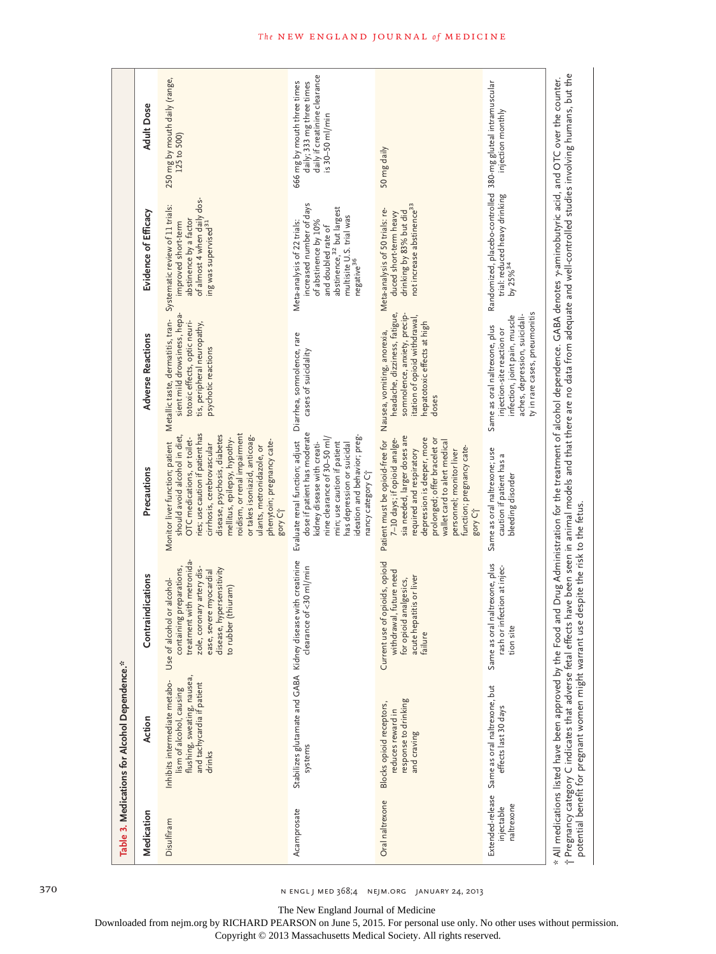|                          | Table 3. Medications for Alcohol Dependence.*                                                                                    |                                                                                                                                                                                                  |                                                                                                                                                                                                                                                                                                                                                                                      |                                                                                                                                                                                         |                                                                                                                                                                                                       |                                                                                                                |
|--------------------------|----------------------------------------------------------------------------------------------------------------------------------|--------------------------------------------------------------------------------------------------------------------------------------------------------------------------------------------------|--------------------------------------------------------------------------------------------------------------------------------------------------------------------------------------------------------------------------------------------------------------------------------------------------------------------------------------------------------------------------------------|-----------------------------------------------------------------------------------------------------------------------------------------------------------------------------------------|-------------------------------------------------------------------------------------------------------------------------------------------------------------------------------------------------------|----------------------------------------------------------------------------------------------------------------|
| Medication               | Action                                                                                                                           | Contraindications                                                                                                                                                                                | Precautions                                                                                                                                                                                                                                                                                                                                                                          | <b>Adverse Reactions</b>                                                                                                                                                                | Evidence of Efficacy                                                                                                                                                                                  | <b>Adult Dose</b>                                                                                              |
| Disulfiram               | flushing, sweating, nausea,<br>Inhibits intermediate metabo-<br>and tachycardia if patient<br>lism of alcohol, causing<br>drinks | treatment with metronida-<br>zole, coronary artery dis-<br>containing preparations,<br>disease, hypersensitivity<br>ease, severe myocardial<br>Use of alcohol or alcohol-<br>to rubber (thiuram) | ries; use caution if patient has<br>roidism, or renal impairment<br>disease, psychosis, diabetes<br>should avoid alcohol in diet,<br>or takes isoniazid, anticoag-<br>OTC medications, or toilet-<br>mellitus, epilepsy, hypothy-<br>phenytoin; pregnancy cate-<br>Monitor liver function; patient<br>cirrhosis, cerebrovascular<br>ulants, metronidazole, or<br>gory C <sup>+</sup> | Metallic taste, dermatitis, tran-Systematic review of 11 trials:<br>sient mild drowsiness, hepa-<br>totoxic effects, optic neuri-<br>tis, peripheral neuropathy,<br>psychotic reactions | of almost 4 when daily dos-<br>abstinence by a factor<br>ing was supervised <sup>31</sup><br>improved short-term                                                                                      | 250 mg by mouth daily (range,<br>125 to 500)                                                                   |
| Acamprosate              | Stabilizes glutamate and GABA Kidney disease with creatinine<br>systems                                                          | clearance of <30 ml/min                                                                                                                                                                          | dose if patient has moderate<br>ideation and behavior; preg-<br>nine clearance of 30-50 ml/<br>Evaluate renal function; adjust<br>min; use caution if patient<br>kidney disease with creati-<br>has depression or suicidal<br>nancy category C+                                                                                                                                      | Diarrhea, somnolence, rare<br>cases of suicidality                                                                                                                                      | increased number of days<br>abstinence, <sup>32</sup> but largest<br>multisite U.S. trial was<br>negative <sup>36</sup><br>of abstinence by 10%<br>Meta-analysis of 22 trials:<br>and doubled rate of | daily if creatinine clearance<br>666 mg by mouth three times<br>daily; 333 mg three times<br>$is 30-50$ ml/min |
| Oral naltrexone          | response to drinking<br>Blocks opioid receptors,<br>reduces reward in<br>and craving                                             | Current use of opioids, opioid<br>withdrawal, future need<br>acute hepatitis or liver<br>for opioid analgesics,<br>failure                                                                       | sia needed, larger doses are<br>depression is deeper, more<br>7-10 days; if opioid analge-<br>Patient must be opioid-free for<br>prolonged; offer bracelet or<br>wallet card to alert medical<br>required and respiratory<br>function; pregnancy cate-<br>personnel; monitor liver<br>gory C <sub>T</sub>                                                                            | headache, dizziness, fatigue,<br>somnolence, anxiety, precip-<br>itation of opioid withdrawal<br>hepatotoxic effects at high<br>Nausea, vomiting, anorexia,<br>doses                    | not increase abstinence <sup>33</sup><br>Meta-analysis of 50 trials: re-<br>drinking by 83% but did<br>duced short-term heavy                                                                         | 50 mg daily                                                                                                    |
| naltrexone<br>injectable | Extended-release Same as oral naltrexone, but<br>effects last 30 days                                                            | Same as oral naltrexone, plus<br>rash or infection at injec-<br>tion site                                                                                                                        | Same as oral naltrexone; use<br>caution if patient has a<br>bleeding disorder                                                                                                                                                                                                                                                                                                        | ty in rare cases, pneumonitis<br>infection, joint pain, muscle<br>aches, depression, suicidali-<br>Same as oral naltrexone, plus<br>injection-site reaction or                          | Randomized, placebo-controlled 380-mg gluteal intramuscular<br>trial: reduced heavy drinking<br>by 25% <sup>34</sup>                                                                                  | injection monthly                                                                                              |

The New England Journal of Medicine

Downloaded from nejm.org by RICHARD PEARSON on June 5, 2015. For personal use only. No other uses without permission.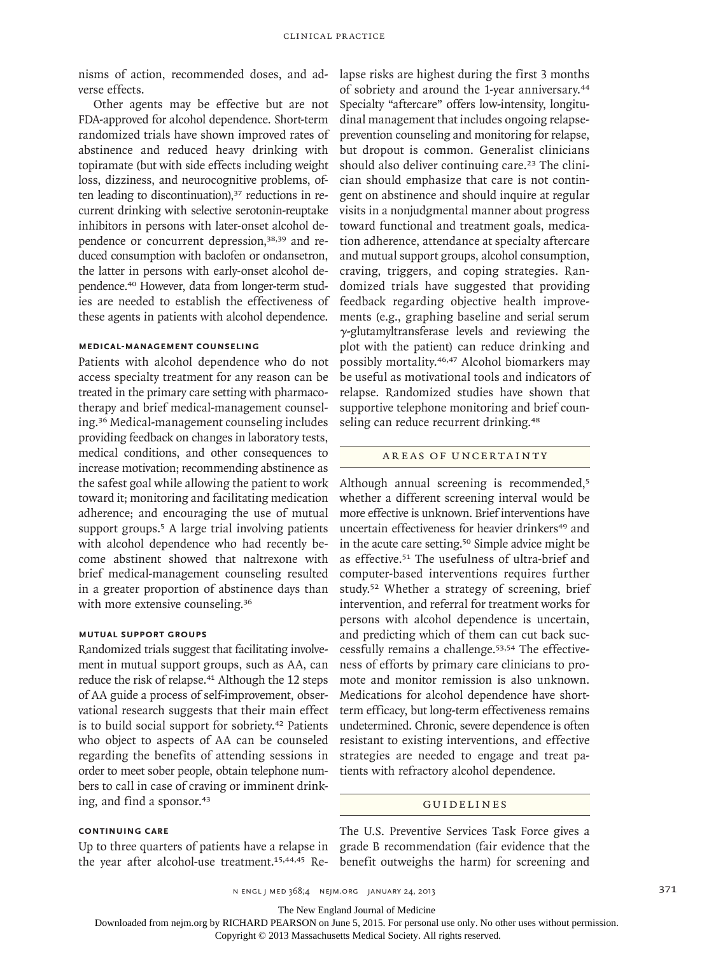nisms of action, recommended doses, and adverse effects.

Other agents may be effective but are not FDA-approved for alcohol dependence. Short-term randomized trials have shown improved rates of abstinence and reduced heavy drinking with topiramate (but with side effects including weight loss, dizziness, and neurocognitive problems, often leading to discontinuation),<sup>37</sup> reductions in recurrent drinking with selective serotonin-reuptake inhibitors in persons with later-onset alcohol dependence or concurrent depression,38,39 and reduced consumption with baclofen or ondansetron, the latter in persons with early-onset alcohol dependence.40 However, data from longer-term studies are needed to establish the effectiveness of these agents in patients with alcohol dependence.

### **Medical-Management Counseling**

Patients with alcohol dependence who do not access specialty treatment for any reason can be treated in the primary care setting with pharmacotherapy and brief medical-management counseling.36 Medical-management counseling includes providing feedback on changes in laboratory tests, medical conditions, and other consequences to increase motivation; recommending abstinence as the safest goal while allowing the patient to work toward it; monitoring and facilitating medication adherence; and encouraging the use of mutual support groups.<sup>5</sup> A large trial involving patients with alcohol dependence who had recently become abstinent showed that naltrexone with brief medical-management counseling resulted in a greater proportion of abstinence days than with more extensive counseling.<sup>36</sup>

## **Mutual Support Groups**

Randomized trials suggest that facilitating involvement in mutual support groups, such as AA, can reduce the risk of relapse.<sup>41</sup> Although the 12 steps of AA guide a process of self-improvement, observational research suggests that their main effect is to build social support for sobriety.<sup>42</sup> Patients who object to aspects of AA can be counseled regarding the benefits of attending sessions in order to meet sober people, obtain telephone numbers to call in case of craving or imminent drinking, and find a sponsor.<sup>43</sup>

# **Continuing Care**

Up to three quarters of patients have a relapse in the year after alcohol-use treatment.<sup>15,44,45</sup> Relapse risks are highest during the first 3 months of sobriety and around the 1-year anniversary.<sup>44</sup> Specialty "aftercare" offers low-intensity, longitudinal management that includes ongoing relapseprevention counseling and monitoring for relapse, but dropout is common. Generalist clinicians should also deliver continuing care.<sup>23</sup> The clinician should emphasize that care is not contingent on abstinence and should inquire at regular visits in a nonjudgmental manner about progress toward functional and treatment goals, medication adherence, attendance at specialty aftercare and mutual support groups, alcohol consumption, craving, triggers, and coping strategies. Randomized trials have suggested that providing feedback regarding objective health improvements (e.g., graphing baseline and serial serum γ-glutamyltransferase levels and reviewing the plot with the patient) can reduce drinking and possibly mortality.46,47 Alcohol biomarkers may be useful as motivational tools and indicators of relapse. Randomized studies have shown that supportive telephone monitoring and brief counseling can reduce recurrent drinking.<sup>48</sup>

## AREAS OF UNCERTAINTY

Although annual screening is recommended,<sup>5</sup> whether a different screening interval would be more effective is unknown. Brief interventions have uncertain effectiveness for heavier drinkers<sup>49</sup> and in the acute care setting.50 Simple advice might be as effective.51 The usefulness of ultra-brief and computer-based interventions requires further study.52 Whether a strategy of screening, brief intervention, and referral for treatment works for persons with alcohol dependence is uncertain, and predicting which of them can cut back successfully remains a challenge.53,54 The effectiveness of efforts by primary care clinicians to promote and monitor remission is also unknown. Medications for alcohol dependence have shortterm efficacy, but long-term effectiveness remains undetermined. Chronic, severe dependence is often resistant to existing interventions, and effective strategies are needed to engage and treat patients with refractory alcohol dependence.

#### Guidelines

The U.S. Preventive Services Task Force gives a grade B recommendation (fair evidence that the benefit outweighs the harm) for screening and

The New England Journal of Medicine

Downloaded from nejm.org by RICHARD PEARSON on June 5, 2015. For personal use only. No other uses without permission.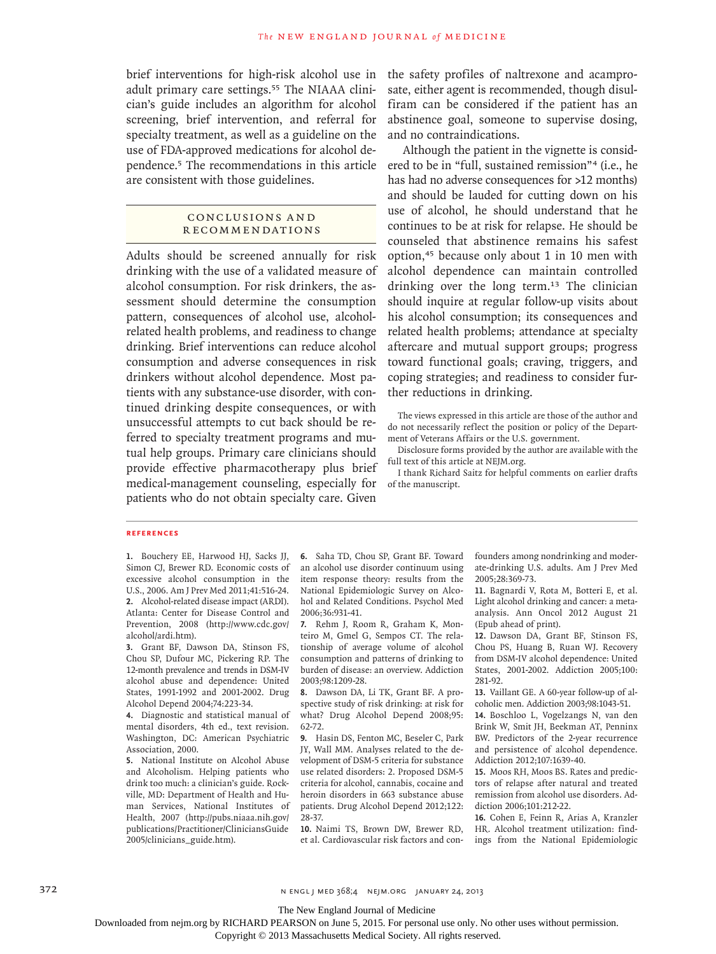brief interventions for high-risk alcohol use in adult primary care settings.<sup>55</sup> The NIAAA clinician's guide includes an algorithm for alcohol screening, brief intervention, and referral for specialty treatment, as well as a guideline on the use of FDA-approved medications for alcohol dependence.<sup>5</sup> The recommendations in this article are consistent with those guidelines.

## CONCLUSIONS AND R ecommendations

Adults should be screened annually for risk drinking with the use of a validated measure of alcohol consumption. For risk drinkers, the assessment should determine the consumption pattern, consequences of alcohol use, alcoholrelated health problems, and readiness to change drinking. Brief interventions can reduce alcohol consumption and adverse consequences in risk drinkers without alcohol dependence. Most patients with any substance-use disorder, with continued drinking despite consequences, or with unsuccessful attempts to cut back should be referred to specialty treatment programs and mutual help groups. Primary care clinicians should provide effective pharmacotherapy plus brief medical-management counseling, especially for patients who do not obtain specialty care. Given

the safety profiles of naltrexone and acamprosate, either agent is recommended, though disulfiram can be considered if the patient has an abstinence goal, someone to supervise dosing, and no contraindications.

Although the patient in the vignette is considered to be in "full, sustained remission"4 (i.e., he has had no adverse consequences for >12 months) and should be lauded for cutting down on his use of alcohol, he should understand that he continues to be at risk for relapse. He should be counseled that abstinence remains his safest option,45 because only about 1 in 10 men with alcohol dependence can maintain controlled drinking over the long term.<sup>13</sup> The clinician should inquire at regular follow-up visits about his alcohol consumption; its consequences and related health problems; attendance at specialty aftercare and mutual support groups; progress toward functional goals; craving, triggers, and coping strategies; and readiness to consider further reductions in drinking.

The views expressed in this article are those of the author and do not necessarily reflect the position or policy of the Department of Veterans Affairs or the U.S. government.

Disclosure forms provided by the author are available with the full text of this article at NEJM.org.

I thank Richard Saitz for helpful comments on earlier drafts of the manuscript.

#### **References**

**1.** Bouchery EE, Harwood HJ, Sacks JJ, Simon CJ, Brewer RD. Economic costs of excessive alcohol consumption in the U.S., 2006. Am J Prev Med 2011;41:516-24. **2.** Alcohol-related disease impact (ARDI). Atlanta: Center for Disease Control and Prevention, 2008 (http://www.cdc.gov/ alcohol/ardi.htm).

**3.** Grant BF, Dawson DA, Stinson FS, Chou SP, Dufour MC, Pickering RP. The 12-month prevalence and trends in DSM-IV alcohol abuse and dependence: United States, 1991-1992 and 2001-2002. Drug Alcohol Depend 2004;74:223-34.

**4.** Diagnostic and statistical manual of mental disorders, 4th ed., text revision. Washington, DC: American Psychiatric Association, 2000.

**5.** National Institute on Alcohol Abuse and Alcoholism. Helping patients who drink too much: a clinician's guide. Rockville, MD: Department of Health and Human Services, National Institutes of Health, 2007 (http://pubs.niaaa.nih.gov/ publications/Practitioner/CliniciansGuide 2005/clinicians\_guide.htm).

**6.** Saha TD, Chou SP, Grant BF. Toward an alcohol use disorder continuum using item response theory: results from the National Epidemiologic Survey on Alcohol and Related Conditions. Psychol Med 2006;36:931-41.

**7.** Rehm J, Room R, Graham K, Monteiro M, Gmel G, Sempos CT. The relationship of average volume of alcohol consumption and patterns of drinking to burden of disease: an overview. Addiction 2003;98:1209-28.

**8.** Dawson DA, Li TK, Grant BF. A prospective study of risk drinking: at risk for what? Drug Alcohol Depend 2008;95: 62-72.

**9.** Hasin DS, Fenton MC, Beseler C, Park JY, Wall MM. Analyses related to the development of DSM-5 criteria for substance use related disorders: 2. Proposed DSM-5 criteria for alcohol, cannabis, cocaine and heroin disorders in 663 substance abuse patients. Drug Alcohol Depend 2012;122: 28-37.

**10.** Naimi TS, Brown DW, Brewer RD, et al. Cardiovascular risk factors and confounders among nondrinking and moderate-drinking U.S. adults. Am J Prev Med 2005;28:369-73.

**11.** Bagnardi V, Rota M, Botteri E, et al. Light alcohol drinking and cancer: a metaanalysis. Ann Oncol 2012 August 21 (Epub ahead of print).

**12.** Dawson DA, Grant BF, Stinson FS, Chou PS, Huang B, Ruan WJ. Recovery from DSM-IV alcohol dependence: United States, 2001-2002. Addiction 2005;100: 281-92.

**13.** Vaillant GE. A 60-year follow-up of alcoholic men. Addiction 2003;98:1043-51.

**14.** Boschloo L, Vogelzangs N, van den Brink W, Smit JH, Beekman AT, Penninx BW. Predictors of the 2-year recurrence and persistence of alcohol dependence. Addiction 2012;107:1639-40.

**15.** Moos RH, Moos BS. Rates and predictors of relapse after natural and treated remission from alcohol use disorders. Addiction 2006;101:212-22.

**16.** Cohen E, Feinn R, Arias A, Kranzler HR. Alcohol treatment utilization: findings from the National Epidemiologic

372 **N ENGL J MED 368;4 NEIM.ORG JANUARY 24, 2013** 

The New England Journal of Medicine

Downloaded from nejm.org by RICHARD PEARSON on June 5, 2015. For personal use only. No other uses without permission.